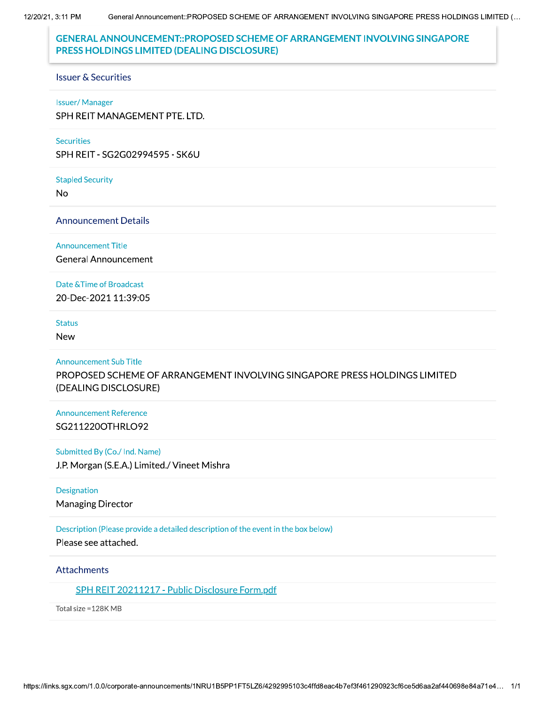General Announcement::PROPOSED SCHEME OF ARRANGEMENT INVOLVING SINGAPORE PRESS HOLDINGS LIMITED (... 12/20/21, 3:11 PM

# **GENERAL ANNOUNCEMENT::PROPOSED SCHEME OF ARRANGEMENT INVOLVING SINGAPORE** PRESS HOLDINGS LIMITED (DEALING DISCLOSURE)

#### **Issuer & Securities**

#### **Issuer/Manager**

SPH REIT MANAGEMENT PTE. LTD.

#### **Securities**

SPH REIT - SG2G02994595 - SK6U

#### **Stapled Security**

**No** 

### **Announcement Details**

#### **Announcement Title**

**General Announcement** 

### Date & Time of Broadcast

20-Dec-2021 11:39:05

## **Status**

**New** 

### **Announcement Sub Title**

PROPOSED SCHEME OF ARRANGEMENT INVOLVING SINGAPORE PRESS HOLDINGS LIMITED (DEALING DISCLOSURE)

## **Announcement Reference** SG211220OTHRLO92

### Submitted By (Co./ Ind. Name)

J.P. Morgan (S.E.A.) Limited./ Vineet Mishra

### Designation

**Managing Director** 

### Description (Please provide a detailed description of the event in the box below)

Please see attached.

### **Attachments**

## SPH REIT 20211217 - Public Disclosure Form.pdf

Total size = 128K MB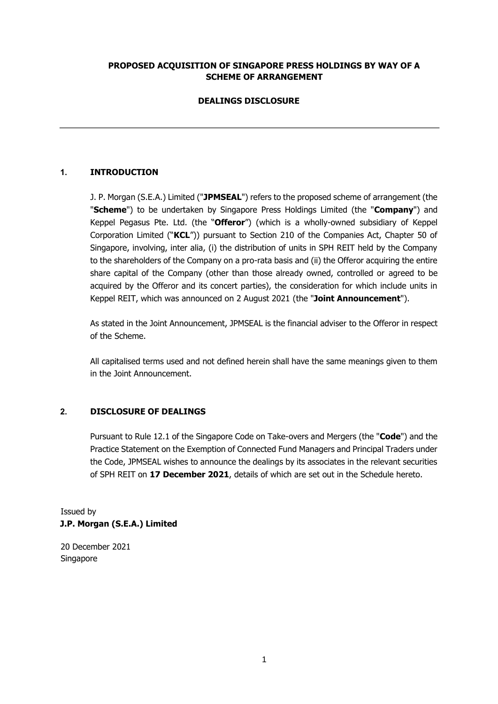## **PROPOSED ACQUISITION OF SINGAPORE PRESS HOLDINGS BY WAY OF A SCHEME OF ARRANGEMENT**

# **DEALINGS DISCLOSURE**

# **1. INTRODUCTION**

J. P. Morgan (S.E.A.) Limited ("**JPMSEAL**") refers to the proposed scheme of arrangement (the "**Scheme**") to be undertaken by Singapore Press Holdings Limited (the "**Company**") and Keppel Pegasus Pte. Ltd. (the "**Offeror**") (which is a wholly-owned subsidiary of Keppel Corporation Limited ("**KCL**")) pursuant to Section 210 of the Companies Act, Chapter 50 of Singapore, involving, inter alia, (i) the distribution of units in SPH REIT held by the Company to the shareholders of the Company on a pro-rata basis and (ii) the Offeror acquiring the entire share capital of the Company (other than those already owned, controlled or agreed to be acquired by the Offeror and its concert parties), the consideration for which include units in Keppel REIT, which was announced on 2 August 2021 (the "**Joint Announcement**").

As stated in the Joint Announcement, JPMSEAL is the financial adviser to the Offeror in respect of the Scheme.

All capitalised terms used and not defined herein shall have the same meanings given to them in the Joint Announcement.

## **2. DISCLOSURE OF DEALINGS**

Pursuant to Rule 12.1 of the Singapore Code on Take-overs and Mergers (the "**Code**") and the Practice Statement on the Exemption of Connected Fund Managers and Principal Traders under the Code, JPMSEAL wishes to announce the dealings by its associates in the relevant securities of SPH REIT on **17 December 2021**, details of which are set out in the Schedule hereto.

Issued by **J.P. Morgan (S.E.A.) Limited** 

20 December 2021 Singapore